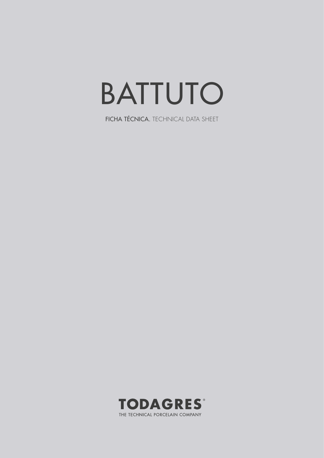## BATTUTO

FICHA TÉCNICA. TECHNICAL DATA SHEET

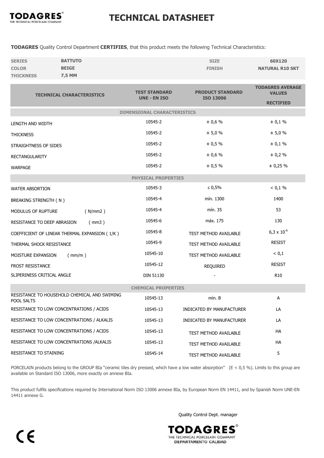

## TECHNICAL DATASHEET

TODAGRES Quality Control Department CERTIFIES, that this product meets the following Technical Characteristics:

| <b>SERIES</b>    | <b>BATTUTO</b> | <b>SIZE</b>   | 60X120                 |
|------------------|----------------|---------------|------------------------|
| <b>COLOR</b>     | <b>BEIGE</b>   | <b>FINISH</b> | <b>NATURAL R10 SKT</b> |
| <b>THICKNESS</b> | 7.5 MM         |               |                        |

| <b>TECHNICAL CHARACTERISTICS</b>                           | <b>TEST STANDARD</b><br><b>UNE - EN ISO</b> | <b>PRODUCT STANDARD</b>      | <b>TODAGRES AVERAGE</b><br><b>VALUES</b> |  |
|------------------------------------------------------------|---------------------------------------------|------------------------------|------------------------------------------|--|
|                                                            |                                             | <b>ISO 13006</b>             | <b>RECTIFIED</b>                         |  |
|                                                            | <b>DIMENSIONAL CHARACTERISTICS</b>          |                              |                                          |  |
| LENGTH AND WIDTH                                           | 10545-2                                     | ± 0,6 %                      | ± 0,1%                                   |  |
| <b>THICKNESS</b>                                           | 10545-2                                     | ± 5,0%                       | ± 5,0%                                   |  |
| STRAIGHTNESS OF SIDES                                      | 10545-2                                     | ± 0,5%                       | ± 0,1%                                   |  |
| <b>RECTANGULARITY</b>                                      | 10545-2                                     | ± 0,6 %                      | ± 0,2%                                   |  |
| <b>WARPAGE</b>                                             | 10545-2                                     | ± 0,5%                       | ± 0,25%                                  |  |
|                                                            | <b>PHYSICAL PROPERTIES</b>                  |                              |                                          |  |
| <b>WATER ABSORTION</b>                                     | 10545-3                                     | ≤ 0,5%                       | < 0.1 %                                  |  |
| BREAKING STRENGTH (N)                                      | 10545-4                                     | mín. 1300                    | 1400                                     |  |
| (N/mm 2)<br>MODULUS OF RUPTURE                             | 10545-4                                     | mín. 35                      | 53                                       |  |
| RESISTANCE TO DEEP ABRASION<br>(mm3)                       | 10545-6                                     | máx. 175                     | 130                                      |  |
| COEFFICIENT OF LINEAR THERMAL EXPANSION (1/K)              | 10545-8                                     | <b>TEST METHOD AVAILABLE</b> | $6,3 \times 10^{-6}$                     |  |
| THERMAL SHOCK RESISTANCE                                   | 10545-9                                     | TEST METHOD AVAILABLE        | <b>RESIST</b>                            |  |
| MOISTURE EXPANSION<br>(mm/m)                               | 10545-10                                    | <b>TEST METHOD AVAILABLE</b> | < 0,1                                    |  |
| <b>FROST RESISTANCE</b>                                    | 10545-12                                    | <b>REQUIRED</b>              | <b>RESIST</b>                            |  |
| SLIPERINESS CRITICAL ANGLE                                 | <b>DIN 51130</b>                            |                              | R <sub>10</sub>                          |  |
| <b>CHEMICAL PROPERTIES</b>                                 |                                             |                              |                                          |  |
| RESISTANCE TO HOUSEHOLD CHEMICAL AND SWIMING<br>POOL SALTS | 10545-13                                    | mín. B                       | A                                        |  |
| RESISTANCE TO LOW CONCENTRATIONS / ACIDS                   | 10545-13                                    | INDICATED BY MANUFACTURER    | LA                                       |  |
| RESISTANCE TO LOW CONCENTRATIONS / ALKALIS                 | 10545-13                                    | INDICATED BY MANUFACTURER    | LA                                       |  |
| RESISTANCE TO LOW CONCENTRATIONS / ACIDS                   | 10545-13                                    | <b>TEST METHOD AVAILABLE</b> | HA                                       |  |
| RESISTANCE TO LOW CONCENTRATIONS /ALKALIS                  | 10545-13                                    | <b>TEST METHOD AVAILABLE</b> | <b>HA</b>                                |  |
| RESISTANCE TO STAINING                                     | 10545-14                                    | TEST METHOD AVAILABLE        | 5                                        |  |

PORCELAIN products belong to the GROUP BIa "ceramic tiles dry pressed, which have a low water absorption"  $(E < 0.5 \%)$ . Limits to this group are available on Standard ISO 13006, more exactly on annexe BIa.

This product fulfils specifications required by International Norm ISO 13006 annexe BIa, by European Norm EN 14411, and by Spanish Norm UNE-EN 14411 annexe G.

Quality Control Dept. manager

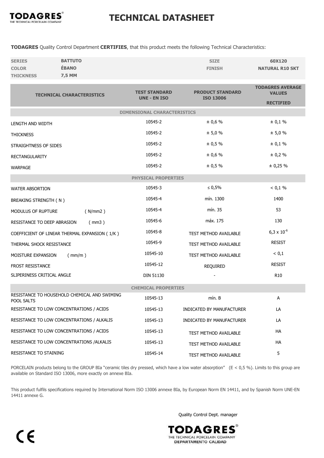

## TECHNICAL DATASHEET

TODAGRES Quality Control Department CERTIFIES, that this product meets the following Technical Characteristics:

| <b>SERIES</b>    | <b>BATTUTO</b> | <b>SIZE</b>   | 60X120                 |
|------------------|----------------|---------------|------------------------|
| <b>COLOR</b>     | <b>ÉBANO</b>   | <b>FINISH</b> | <b>NATURAL R10 SKT</b> |
| <b>THICKNESS</b> | 7,5 MM         |               |                        |

| <b>TECHNICAL CHARACTERISTICS</b>                           | <b>TEST STANDARD</b><br><b>UNE - EN ISO</b> | <b>PRODUCT STANDARD</b>      | <b>TODAGRES AVERAGE</b><br><b>VALUES</b> |  |
|------------------------------------------------------------|---------------------------------------------|------------------------------|------------------------------------------|--|
|                                                            |                                             | <b>ISO 13006</b>             | <b>RECTIFIED</b>                         |  |
|                                                            | <b>DIMENSIONAL CHARACTERISTICS</b>          |                              |                                          |  |
| LENGTH AND WIDTH                                           | 10545-2                                     | ± 0,6 %                      | ± 0,1%                                   |  |
| <b>THICKNESS</b>                                           | 10545-2                                     | ± 5,0%                       | ± 5,0%                                   |  |
| STRAIGHTNESS OF SIDES                                      | 10545-2                                     | ± 0,5 %                      | ± 0,1%                                   |  |
| <b>RECTANGULARITY</b>                                      | 10545-2                                     | ± 0,6 %                      | ± 0,2%                                   |  |
| <b>WARPAGE</b>                                             | 10545-2                                     | ± 0,5%                       | ± 0,25%                                  |  |
|                                                            | <b>PHYSICAL PROPERTIES</b>                  |                              |                                          |  |
| <b>WATER ABSORTION</b>                                     | 10545-3                                     | ≤ 0,5%                       | < 0.1 %                                  |  |
| <b>BREAKING STRENGTH (N)</b>                               | 10545-4                                     | mín. 1300                    | 1400                                     |  |
| MODULUS OF RUPTURE<br>(N/mm2)                              | 10545-4                                     | mín. 35                      | 53                                       |  |
| RESISTANCE TO DEEP ABRASION<br>(mm3)                       | 10545-6                                     | máx. 175                     | 130                                      |  |
| COEFFICIENT OF LINEAR THERMAL EXPANSION (1/K)              | 10545-8                                     | TEST METHOD AVAILABLE        | $6.3 \times 10^{-6}$                     |  |
| THERMAL SHOCK RESISTANCE                                   | 10545-9                                     | TEST METHOD AVAILABLE        | <b>RESIST</b>                            |  |
| MOISTURE EXPANSION<br>(mm/m)                               | 10545-10                                    | TEST METHOD AVAILABLE        | < 0,1                                    |  |
| <b>FROST RESISTANCE</b>                                    | 10545-12                                    | <b>REQUIRED</b>              | <b>RESIST</b>                            |  |
| SLIPERINESS CRITICAL ANGLE                                 | <b>DIN 51130</b>                            |                              | R <sub>10</sub>                          |  |
| <b>CHEMICAL PROPERTIES</b>                                 |                                             |                              |                                          |  |
| RESISTANCE TO HOUSEHOLD CHEMICAL AND SWIMING<br>POOL SALTS | 10545-13                                    | mín. B                       | A                                        |  |
| RESISTANCE TO LOW CONCENTRATIONS / ACIDS                   | 10545-13                                    | INDICATED BY MANUFACTURER    | LA                                       |  |
| RESISTANCE TO LOW CONCENTRATIONS / ALKALIS                 | 10545-13                                    | INDICATED BY MANUFACTURER    | LA                                       |  |
| RESISTANCE TO LOW CONCENTRATIONS / ACIDS                   | 10545-13                                    | <b>TEST METHOD AVAILABLE</b> | HA                                       |  |
| RESISTANCE TO LOW CONCENTRATIONS /ALKALIS                  | 10545-13                                    | <b>TEST METHOD AVAILABLE</b> | <b>HA</b>                                |  |
| RESISTANCE TO STAINING                                     | 10545-14                                    | TEST METHOD AVAILABLE        | 5                                        |  |

PORCELAIN products belong to the GROUP BIa "ceramic tiles dry pressed, which have a low water absorption"  $(E < 0.5 \%)$ . Limits to this group are available on Standard ISO 13006, more exactly on annexe BIa.

This product fulfils specifications required by International Norm ISO 13006 annexe BIa, by European Norm EN 14411, and by Spanish Norm UNE-EN 14411 annexe G.

Quality Control Dept. manager